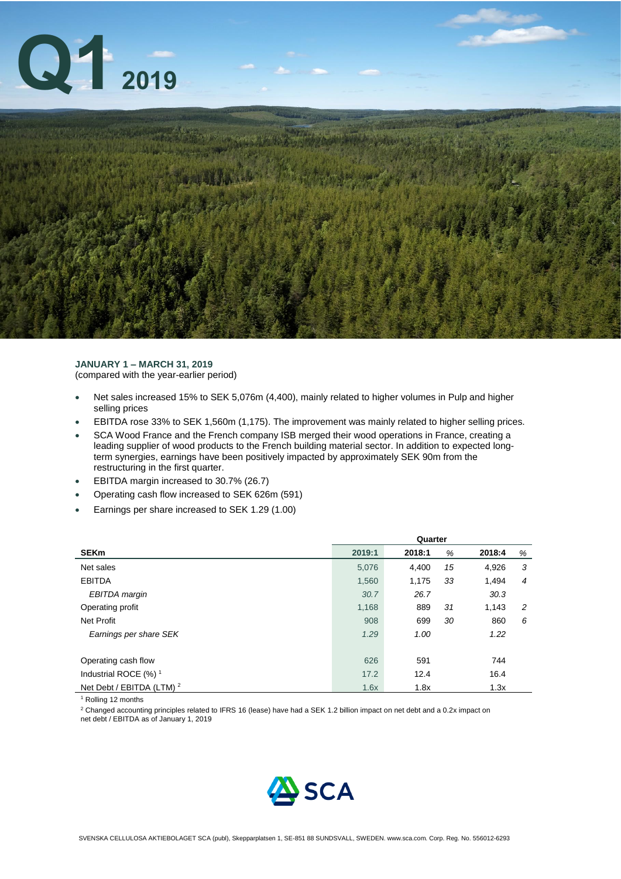

### **JANUARY 1 – MARCH 31, 2019** (compared with the year-earlier period)

- Net sales increased 15% to SEK 5,076m (4,400), mainly related to higher volumes in Pulp and higher selling prices
- EBITDA rose 33% to SEK 1,560m (1,175). The improvement was mainly related to higher selling prices.
- SCA Wood France and the French company ISB merged their wood operations in France, creating a leading supplier of wood products to the French building material sector. In addition to expected longterm synergies, earnings have been positively impacted by approximately SEK 90m from the restructuring in the first quarter.
- EBITDA margin increased to 30.7% (26.7)
- Operating cash flow increased to SEK 626m (591)
- Earnings per share increased to SEK 1.29 (1.00)

|                                      | Quarter |        |    |        |   |
|--------------------------------------|---------|--------|----|--------|---|
| <b>SEKm</b>                          | 2019:1  | 2018:1 | %  | 2018:4 | % |
| Net sales                            | 5,076   | 4,400  | 15 | 4,926  | 3 |
| <b>EBITDA</b>                        | 1,560   | 1,175  | 33 | 1,494  | 4 |
| EBITDA margin                        | 30.7    | 26.7   |    | 30.3   |   |
| Operating profit                     | 1,168   | 889    | 31 | 1,143  | 2 |
| <b>Net Profit</b>                    | 908     | 699    | 30 | 860    | 6 |
| Earnings per share SEK               | 1.29    | 1.00   |    | 1.22   |   |
|                                      |         |        |    |        |   |
| Operating cash flow                  | 626     | 591    |    | 744    |   |
| Industrial ROCE $(%)$ <sup>1</sup>   | 17.2    | 12.4   |    | 16.4   |   |
| Net Debt / EBITDA (LTM) <sup>2</sup> | 1.6x    | 1.8x   |    | 1.3x   |   |

<sup>1</sup> Rolling 12 months

<sup>2</sup> Changed accounting principles related to IFRS 16 (lease) have had a SEK 1.2 billion impact on net debt and a 0.2x impact on

net debt / EBITDA as of January 1, 2019

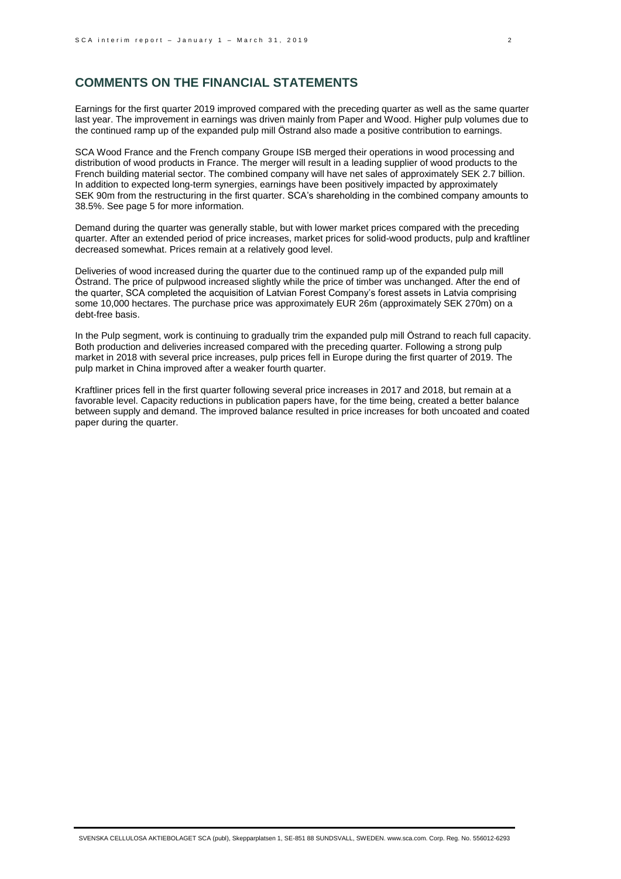## **COMMENTS ON THE FINANCIAL STATEMENTS**

Earnings for the first quarter 2019 improved compared with the preceding quarter as well as the same quarter last year. The improvement in earnings was driven mainly from Paper and Wood. Higher pulp volumes due to the continued ramp up of the expanded pulp mill Östrand also made a positive contribution to earnings.

SCA Wood France and the French company Groupe ISB merged their operations in wood processing and distribution of wood products in France. The merger will result in a leading supplier of wood products to the French building material sector. The combined company will have net sales of approximately SEK 2.7 billion. In addition to expected long-term synergies, earnings have been positively impacted by approximately SEK 90m from the restructuring in the first quarter. SCA's shareholding in the combined company amounts to 38.5%. See page 5 for more information.

Demand during the quarter was generally stable, but with lower market prices compared with the preceding quarter. After an extended period of price increases, market prices for solid-wood products, pulp and kraftliner decreased somewhat. Prices remain at a relatively good level.

Deliveries of wood increased during the quarter due to the continued ramp up of the expanded pulp mill Östrand. The price of pulpwood increased slightly while the price of timber was unchanged. After the end of the quarter, SCA completed the acquisition of Latvian Forest Company's forest assets in Latvia comprising some 10,000 hectares. The purchase price was approximately EUR 26m (approximately SEK 270m) on a debt-free basis.

In the Pulp segment, work is continuing to gradually trim the expanded pulp mill Östrand to reach full capacity. Both production and deliveries increased compared with the preceding quarter. Following a strong pulp market in 2018 with several price increases, pulp prices fell in Europe during the first quarter of 2019. The pulp market in China improved after a weaker fourth quarter.

Kraftliner prices fell in the first quarter following several price increases in 2017 and 2018, but remain at a favorable level. Capacity reductions in publication papers have, for the time being, created a better balance between supply and demand. The improved balance resulted in price increases for both uncoated and coated paper during the quarter.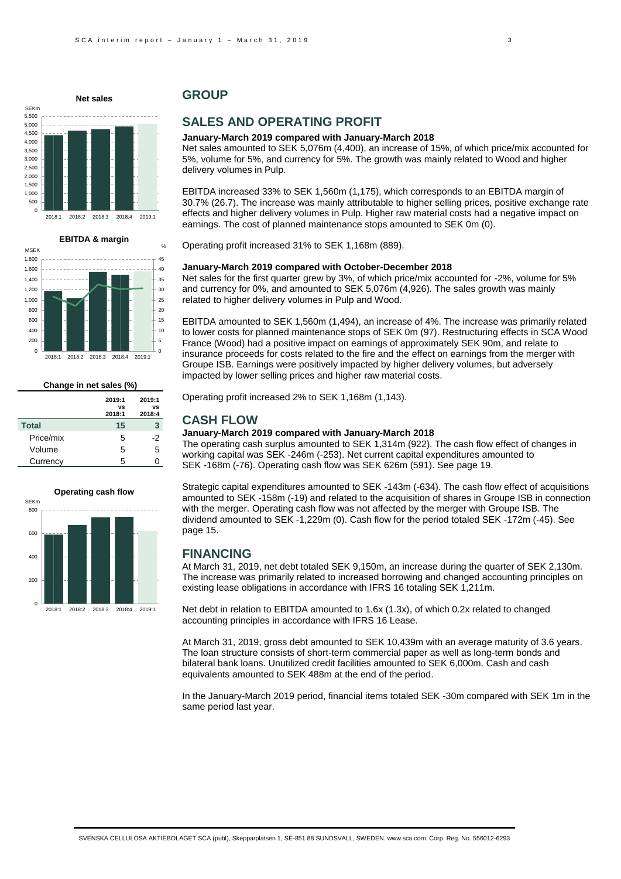



| Change in net sales (%) |                        |                        |  |
|-------------------------|------------------------|------------------------|--|
|                         | 2019:1<br>vs<br>2018:1 | 2019:1<br>vs<br>2018:4 |  |
| <b>Total</b>            | 15                     | 3                      |  |
| Price/mix               | 5                      | -2                     |  |
| Volume                  | 5                      | 5                      |  |
| Currency                | 5                      |                        |  |



## **GROUP**

# **SALES AND OPERATING PROFIT**

#### **January-March 2019 compared with January-March 2018**

Net sales amounted to SEK 5,076m (4,400), an increase of 15%, of which price/mix accounted for 5%, volume for 5%, and currency for 5%. The growth was mainly related to Wood and higher delivery volumes in Pulp.

EBITDA increased 33% to SEK 1,560m (1,175), which corresponds to an EBITDA margin of 30.7% (26.7). The increase was mainly attributable to higher selling prices, positive exchange rate effects and higher delivery volumes in Pulp. Higher raw material costs had a negative impact on earnings. The cost of planned maintenance stops amounted to SEK 0m (0).

Operating profit increased 31% to SEK 1,168m (889).

#### **January-March 2019 compared with October-December 2018**

Net sales for the first quarter grew by 3%, of which price/mix accounted for -2%, volume for 5% and currency for 0%, and amounted to SEK 5,076m (4,926). The sales growth was mainly related to higher delivery volumes in Pulp and Wood.

EBITDA amounted to SEK 1,560m (1,494), an increase of 4%. The increase was primarily related to lower costs for planned maintenance stops of SEK 0m (97). Restructuring effects in SCA Wood France (Wood) had a positive impact on earnings of approximately SEK 90m, and relate to insurance proceeds for costs related to the fire and the effect on earnings from the merger with Groupe ISB. Earnings were positively impacted by higher delivery volumes, but adversely impacted by lower selling prices and higher raw material costs.

Operating profit increased 2% to SEK 1,168m (1,143).

### **CASH FLOW**

#### **January-March 2019 compared with January-March 2018**

The operating cash surplus amounted to SEK 1,314m (922). The cash flow effect of changes in working capital was SEK -246m (-253). Net current capital expenditures amounted to SEK -168m (-76). Operating cash flow was SEK 626m (591). See page 19.

Strategic capital expenditures amounted to SEK -143m (-634). The cash flow effect of acquisitions amounted to SEK -158m (-19) and related to the acquisition of shares in Groupe ISB in connection with the merger. Operating cash flow was not affected by the merger with Groupe ISB. The dividend amounted to SEK -1,229m (0). Cash flow for the period totaled SEK -172m (-45). See page 15.

### **FINANCING**

At March 31, 2019, net debt totaled SEK 9,150m, an increase during the quarter of SEK 2,130m. The increase was primarily related to increased borrowing and changed accounting principles on existing lease obligations in accordance with IFRS 16 totaling SEK 1,211m.

Net debt in relation to EBITDA amounted to 1.6x (1.3x), of which 0.2x related to changed accounting principles in accordance with IFRS 16 Lease.

At March 31, 2019, gross debt amounted to SEK 10,439m with an average maturity of 3.6 years. The loan structure consists of short-term commercial paper as well as long-term bonds and bilateral bank loans. Unutilized credit facilities amounted to SEK 6,000m. Cash and cash equivalents amounted to SEK 488m at the end of the period.

In the January-March 2019 period, financial items totaled SEK -30m compared with SEK 1m in the same period last year.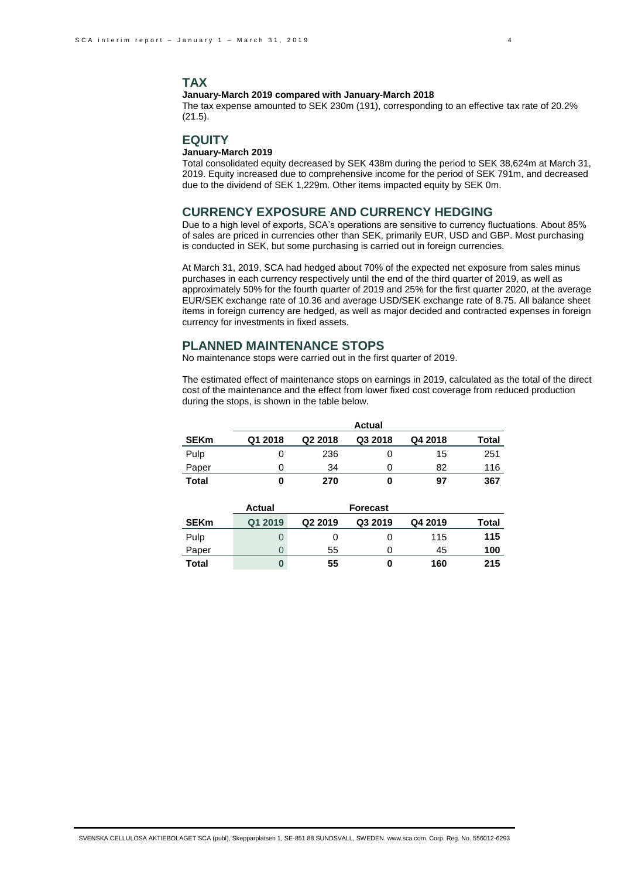#### **January-March 2019 compared with January-March 2018**

The tax expense amounted to SEK 230m (191), corresponding to an effective tax rate of 20.2% (21.5).

### **EQUITY**

### **January-March 2019**

Total consolidated equity decreased by SEK 438m during the period to SEK 38,624m at March 31, 2019. Equity increased due to comprehensive income for the period of SEK 791m, and decreased due to the dividend of SEK 1,229m. Other items impacted equity by SEK 0m.

## **CURRENCY EXPOSURE AND CURRENCY HEDGING**

Due to a high level of exports, SCA's operations are sensitive to currency fluctuations. About 85% of sales are priced in currencies other than SEK, primarily EUR, USD and GBP. Most purchasing is conducted in SEK, but some purchasing is carried out in foreign currencies.

At March 31, 2019, SCA had hedged about 70% of the expected net exposure from sales minus purchases in each currency respectively until the end of the third quarter of 2019, as well as approximately 50% for the fourth quarter of 2019 and 25% for the first quarter 2020, at the average EUR/SEK exchange rate of 10.36 and average USD/SEK exchange rate of 8.75. All balance sheet items in foreign currency are hedged, as well as major decided and contracted expenses in foreign currency for investments in fixed assets.

### **PLANNED MAINTENANCE STOPS**

No maintenance stops were carried out in the first quarter of 2019.

The estimated effect of maintenance stops on earnings in 2019, calculated as the total of the direct cost of the maintenance and the effect from lower fixed cost coverage from reduced production during the stops, is shown in the table below.

|             |         |                     | <b>Actual</b> |         |       |
|-------------|---------|---------------------|---------------|---------|-------|
| <b>SEKm</b> | Q1 2018 | Q <sub>2</sub> 2018 | Q3 2018       | Q4 2018 | Total |
| Pulp        |         | 236                 |               | 15      | 251   |
| Paper       |         | 34                  | 0             | 82      | 116   |
| Total       |         | 270                 | U             | 97      | 367   |

|             | Actual  |                     | <b>Forecast</b> |         |       |
|-------------|---------|---------------------|-----------------|---------|-------|
| <b>SEKm</b> | Q1 2019 | Q <sub>2</sub> 2019 | Q3 2019         | Q4 2019 | Total |
| Pulp        |         |                     | O               | 115     | 115   |
| Paper       |         | 55                  | O)              | 45      | 100   |
| Total       |         | 55                  | O               | 160     | 215   |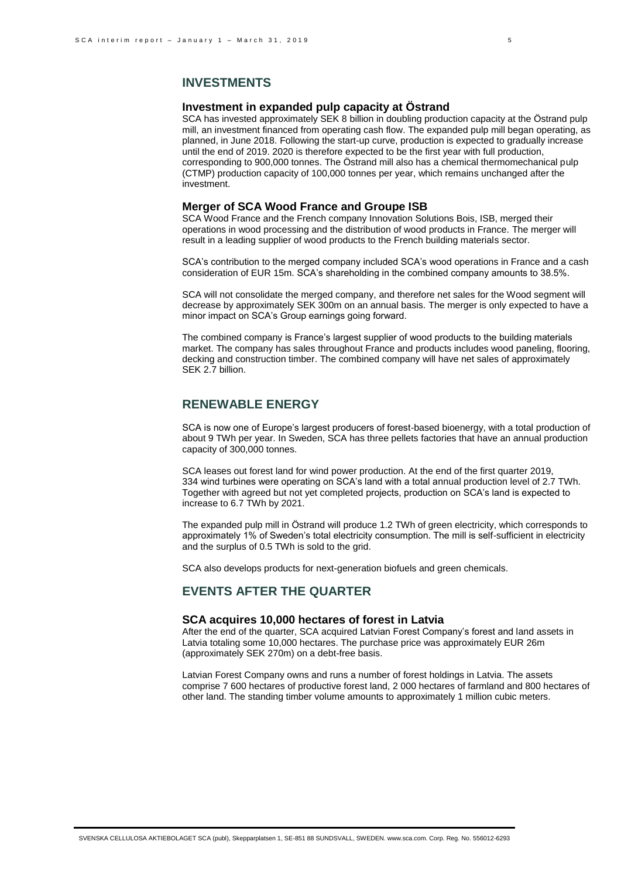### **INVESTMENTS**

#### **Investment in expanded pulp capacity at Östrand**

SCA has invested approximately SEK 8 billion in doubling production capacity at the Östrand pulp mill, an investment financed from operating cash flow. The expanded pulp mill began operating, as planned, in June 2018. Following the start-up curve, production is expected to gradually increase until the end of 2019. 2020 is therefore expected to be the first year with full production, corresponding to 900,000 tonnes. The Östrand mill also has a chemical thermomechanical pulp (CTMP) production capacity of 100,000 tonnes per year, which remains unchanged after the investment.

### **Merger of SCA Wood France and Groupe ISB**

SCA Wood France and the French company Innovation Solutions Bois, ISB, merged their operations in wood processing and the distribution of wood products in France. The merger will result in a leading supplier of wood products to the French building materials sector.

SCA's contribution to the merged company included SCA's wood operations in France and a cash consideration of EUR 15m. SCA's shareholding in the combined company amounts to 38.5%.

SCA will not consolidate the merged company, and therefore net sales for the Wood segment will decrease by approximately SEK 300m on an annual basis. The merger is only expected to have a minor impact on SCA's Group earnings going forward.

The combined company is France's largest supplier of wood products to the building materials market. The company has sales throughout France and products includes wood paneling, flooring, decking and construction timber. The combined company will have net sales of approximately SEK 2.7 billion.

## **RENEWABLE ENERGY**

SCA is now one of Europe's largest producers of forest-based bioenergy, with a total production of about 9 TWh per year. In Sweden, SCA has three pellets factories that have an annual production capacity of 300,000 tonnes.

SCA leases out forest land for wind power production. At the end of the first quarter 2019, 334 wind turbines were operating on SCA's land with a total annual production level of 2.7 TWh. Together with agreed but not yet completed projects, production on SCA's land is expected to increase to 6.7 TWh by 2021.

The expanded pulp mill in Östrand will produce 1.2 TWh of green electricity, which corresponds to approximately 1% of Sweden's total electricity consumption. The mill is self-sufficient in electricity and the surplus of 0.5 TWh is sold to the grid.

SCA also develops products for next-generation biofuels and green chemicals.

## **EVENTS AFTER THE QUARTER**

#### **SCA acquires 10,000 hectares of forest in Latvia**

After the end of the quarter, SCA acquired Latvian Forest Company's forest and land assets in Latvia totaling some 10,000 hectares. The purchase price was approximately EUR 26m (approximately SEK 270m) on a debt-free basis.

Latvian Forest Company owns and runs a number of forest holdings in Latvia. The assets comprise 7 600 hectares of productive forest land, 2 000 hectares of farmland and 800 hectares of other land. The standing timber volume amounts to approximately 1 million cubic meters.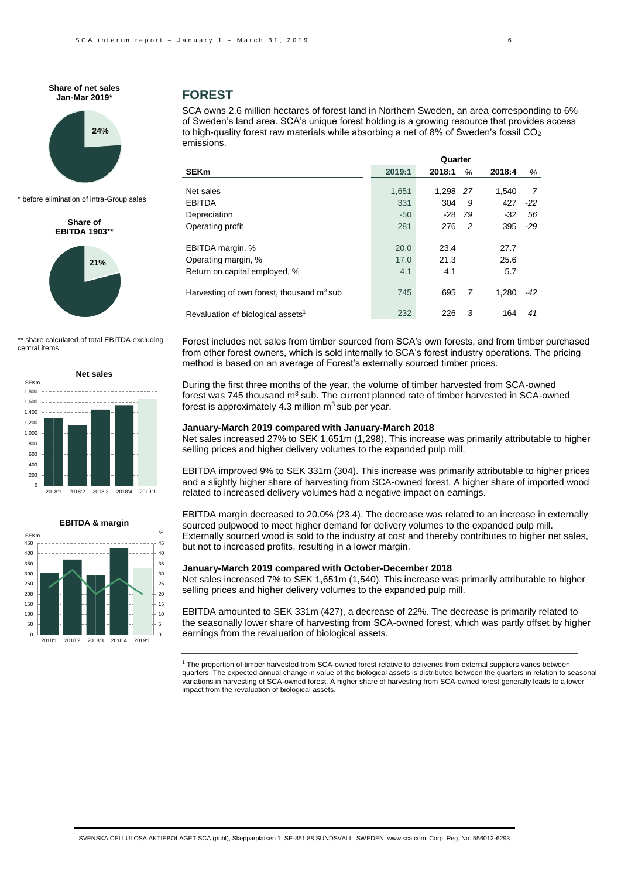

\* before elimination of intra-Group sales

**Share of EBITDA 1903\*\*** 



\*\* share calculated of total EBITDA excluding central items





### **FOREST**

SCA owns 2.6 million hectares of forest land in Northern Sweden, an area corresponding to 6% of Sweden's land area. SCA's unique forest holding is a growing resource that provides access to high-quality forest raw materials while absorbing a net of 8% of Sweden's fossil  $CO<sub>2</sub>$ emissions.

|                                               | Quarter |        |     |        |       |
|-----------------------------------------------|---------|--------|-----|--------|-------|
| <b>SEKm</b>                                   | 2019:1  | 2018:1 | %   | 2018:4 | %     |
| Net sales                                     | 1,651   | 1.298  | -27 | 1.540  | 7     |
| <b>EBITDA</b>                                 | 331     | 304    | 9   | 427    | -22   |
| Depreciation                                  | $-50$   | $-28$  | 79  | $-32$  | 56    |
| Operating profit                              | 281     | 276    | 2   | 395    | $-29$ |
| EBITDA margin, %                              | 20.0    | 23.4   |     | 27.7   |       |
| Operating margin, %                           | 17.0    | 21.3   |     | 25.6   |       |
| Return on capital employed, %                 | 4.1     | 4.1    |     | 5.7    |       |
| Harvesting of own forest, thousand $m3$ sub   | 745     | 695    | 7   | 1.280  | -42   |
| Revaluation of biological assets <sup>1</sup> | 232     | 226    | 3   | 164    | 41    |

Forest includes net sales from timber sourced from SCA's own forests, and from timber purchased from other forest owners, which is sold internally to SCA's forest industry operations. The pricing method is based on an average of Forest's externally sourced timber prices.

During the first three months of the year, the volume of timber harvested from SCA-owned forest was 745 thousand  $m<sup>3</sup>$  sub. The current planned rate of timber harvested in SCA-owned forest is approximately 4.3 million  $m<sup>3</sup>$  sub per year.

#### **January-March 2019 compared with January-March 2018**

Net sales increased 27% to SEK 1,651m (1,298). This increase was primarily attributable to higher selling prices and higher delivery volumes to the expanded pulp mill.

EBITDA improved 9% to SEK 331m (304). This increase was primarily attributable to higher prices and a slightly higher share of harvesting from SCA-owned forest. A higher share of imported wood related to increased delivery volumes had a negative impact on earnings.

EBITDA margin decreased to 20.0% (23.4). The decrease was related to an increase in externally sourced pulpwood to meet higher demand for delivery volumes to the expanded pulp mill. Externally sourced wood is sold to the industry at cost and thereby contributes to higher net sales, but not to increased profits, resulting in a lower margin.

#### **January-March 2019 compared with October-December 2018**

Net sales increased 7% to SEK 1,651m (1,540). This increase was primarily attributable to higher selling prices and higher delivery volumes to the expanded pulp mill.

EBITDA amounted to SEK 331m (427), a decrease of 22%. The decrease is primarily related to the seasonally lower share of harvesting from SCA-owned forest, which was partly offset by higher earnings from the revaluation of biological assets.

<sup>1</sup> The proportion of timber harvested from SCA-owned forest relative to deliveries from external suppliers varies between quarters. The expected annual change in value of the biological assets is distributed between the quarters in relation to seasonal variations in harvesting of SCA-owned forest. A higher share of harvesting from SCA-owned forest generally leads to a lower impact from the revaluation of biological assets.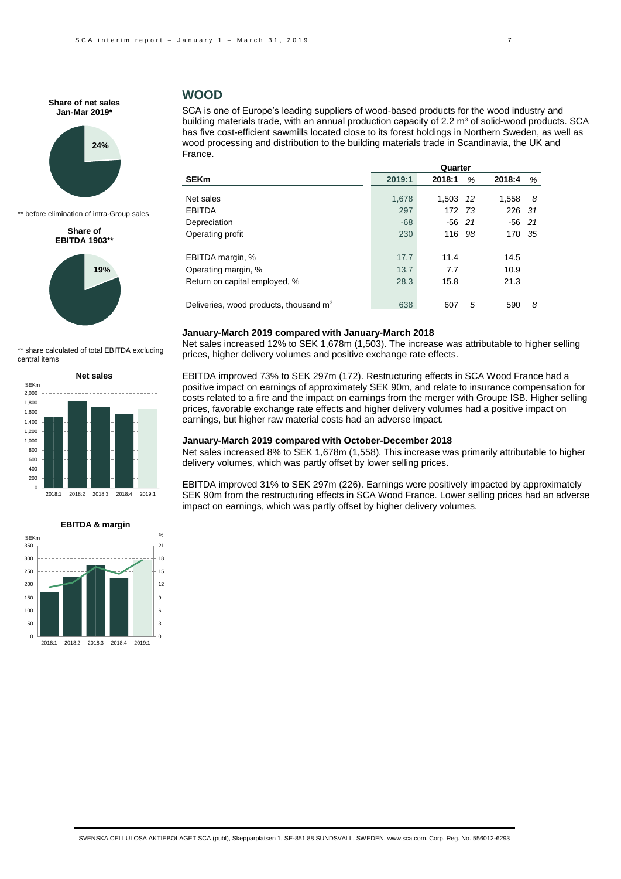

\*\* before elimination of intra-Group sales

#### **Share of EBITDA 1903\*\***



\*\* share calculated of total EBITDA excluding central items





## **WOOD**

SCA is one of Europe's leading suppliers of wood-based products for the wood industry and building materials trade, with an annual production capacity of  $2.2 \text{ m}^3$  of solid-wood products. SCA has five cost-efficient sawmills located close to its forest holdings in Northern Sweden, as well as wood processing and distribution to the building materials trade in Scandinavia, the UK and France.

| SEKm                                     | 2019:1 | 2018:1   | %    | 2018:4   | %  |  |
|------------------------------------------|--------|----------|------|----------|----|--|
|                                          |        |          |      |          |    |  |
| Net sales                                | 1,678  | 1,503    | -12  | 1,558    | -8 |  |
| <b>EBITDA</b>                            | 297    | 172 73   |      | 226 31   |    |  |
| Depreciation                             | $-68$  | $-56$ 21 |      | $-56$ 21 |    |  |
| Operating profit                         | 230    | 116      | - 98 | 170 35   |    |  |
| EBITDA margin, %                         | 17.7   | 11.4     |      | 14.5     |    |  |
| Operating margin, %                      | 13.7   | 7.7      |      | 10.9     |    |  |
| Return on capital employed, %            | 28.3   | 15.8     |      | 21.3     |    |  |
| Deliveries, wood products, thousand $m3$ | 638    | 607      | 5    | 590      | 8  |  |
|                                          |        |          |      |          |    |  |

#### **January-March 2019 compared with January-March 2018**

Net sales increased 12% to SEK 1,678m (1,503). The increase was attributable to higher selling prices, higher delivery volumes and positive exchange rate effects.

EBITDA improved 73% to SEK 297m (172). Restructuring effects in SCA Wood France had a positive impact on earnings of approximately SEK 90m, and relate to insurance compensation for costs related to a fire and the impact on earnings from the merger with Groupe ISB. Higher selling prices, favorable exchange rate effects and higher delivery volumes had a positive impact on earnings, but higher raw material costs had an adverse impact.

### **January-March 2019 compared with October-December 2018**

Net sales increased 8% to SEK 1,678m (1,558). This increase was primarily attributable to higher delivery volumes, which was partly offset by lower selling prices.

EBITDA improved 31% to SEK 297m (226). Earnings were positively impacted by approximately SEK 90m from the restructuring effects in SCA Wood France. Lower selling prices had an adverse impact on earnings, which was partly offset by higher delivery volumes.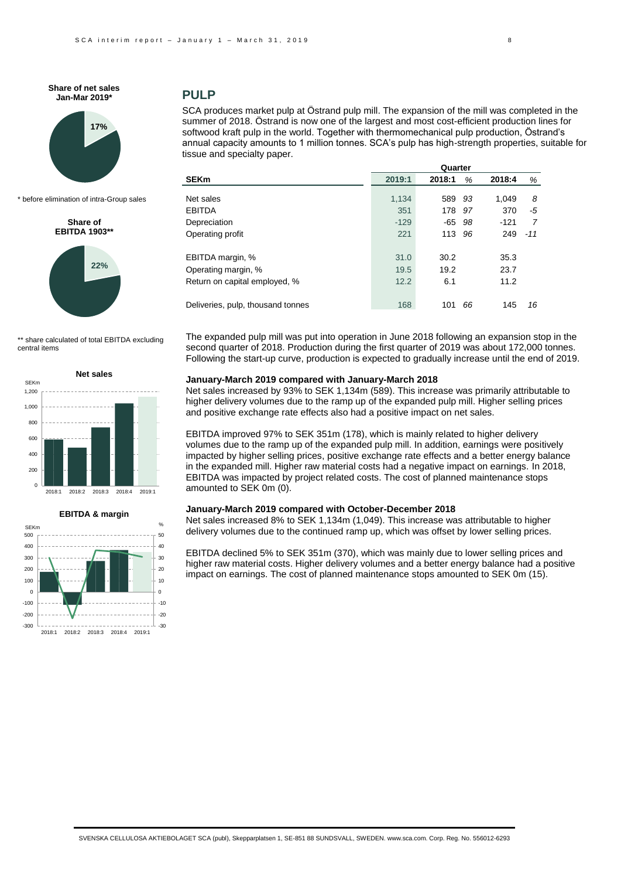

\* before elimination of intra-Group sales

**Share of EBITDA 1903\*\***



\*\* share calculated of total EBITDA excluding central items





### **PULP**

SCA produces market pulp at Östrand pulp mill. The expansion of the mill was completed in the summer of 2018. Östrand is now one of the largest and most cost-efficient production lines for softwood kraft pulp in the world. Together with thermomechanical pulp production, Östrand's annual capacity amounts to 1 million tonnes. SCA's pulp has high-strength properties, suitable for tissue and specialty paper.

| 2019:1 | 2018:1 | %   | 2018:4        | %     |
|--------|--------|-----|---------------|-------|
|        |        |     |               |       |
|        |        |     |               | 8     |
| 351    | 178    | 97  | 370           | -5    |
| $-129$ | -65    | 98  | $-121$        | 7     |
| 221    | 113    | 96  | 249           | $-11$ |
| 31.0   | 30.2   |     | 35.3          |       |
| 19.5   | 19.2   |     | 23.7          |       |
| 12.2   | 6.1    |     | 11.2          |       |
| 168    | 101    | 66  | 145           | 16    |
|        | 1.134  | 589 | Quarter<br>93 | 1.049 |

The expanded pulp mill was put into operation in June 2018 following an expansion stop in the second quarter of 2018. Production during the first quarter of 2019 was about 172,000 tonnes. Following the start-up curve, production is expected to gradually increase until the end of 2019.

#### **January-March 2019 compared with January-March 2018**

Net sales increased by 93% to SEK 1,134m (589). This increase was primarily attributable to higher delivery volumes due to the ramp up of the expanded pulp mill. Higher selling prices and positive exchange rate effects also had a positive impact on net sales.

EBITDA improved 97% to SEK 351m (178), which is mainly related to higher delivery volumes due to the ramp up of the expanded pulp mill. In addition, earnings were positively impacted by higher selling prices, positive exchange rate effects and a better energy balance in the expanded mill. Higher raw material costs had a negative impact on earnings. In 2018, EBITDA was impacted by project related costs. The cost of planned maintenance stops amounted to SEK 0m (0).

#### **January-March 2019 compared with October-December 2018**

Net sales increased 8% to SEK 1,134m (1,049). This increase was attributable to higher delivery volumes due to the continued ramp up, which was offset by lower selling prices.

EBITDA declined 5% to SEK 351m (370), which was mainly due to lower selling prices and higher raw material costs. Higher delivery volumes and a better energy balance had a positive impact on earnings. The cost of planned maintenance stops amounted to SEK 0m (15).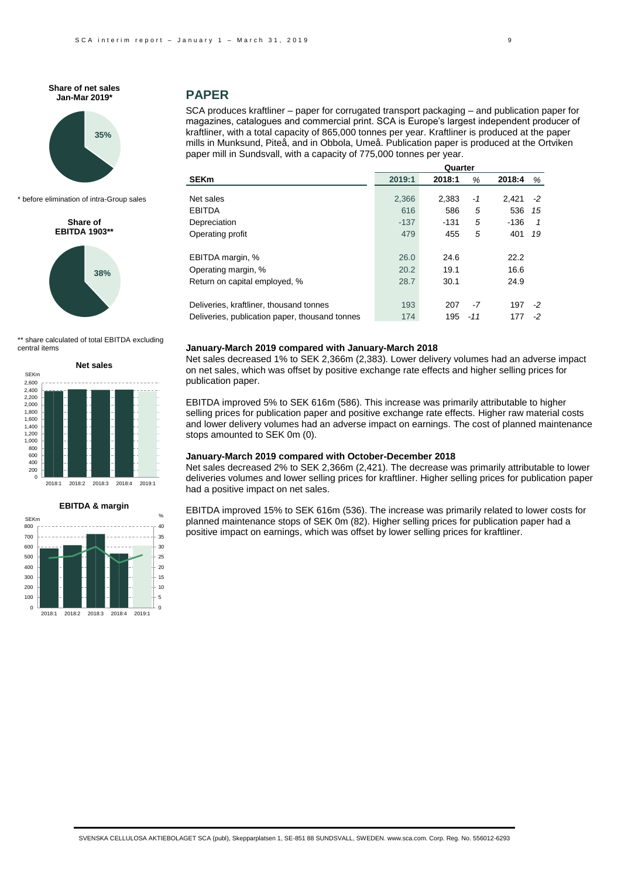

\* before elimination of intra-Group sales

**Share of EBITDA 1903\*\*** 



\*\* share calculated of total EBITDA excluding central items







## **PAPER**

SCA produces kraftliner – paper for corrugated transport packaging – and publication paper for magazines, catalogues and commercial print. SCA is Europe's largest independent producer of kraftliner, with a total capacity of 865,000 tonnes per year. Kraftliner is produced at the paper mills in Munksund, Piteå, and in Obbola, Umeå. Publication paper is produced at the Ortviken paper mill in Sundsvall, with a capacity of 775,000 tonnes per year.

|                                                | Quarter |        |     |        |      |
|------------------------------------------------|---------|--------|-----|--------|------|
| <b>SEKm</b>                                    | 2019:1  | 2018:1 | %   | 2018:4 | %    |
| Net sales                                      |         |        |     |        |      |
|                                                | 2,366   | 2,383  | -1  | 2.421  | $-2$ |
| <b>EBITDA</b>                                  | 616     | 586    | 5   | 536    | 15   |
| Depreciation                                   | $-137$  | -131   | 5   | $-136$ | 1    |
| Operating profit                               | 479     | 455    | 5   | 401    | 19   |
| EBITDA margin, %                               | 26.0    | 24.6   |     | 22.2   |      |
| Operating margin, %                            | 20.2    | 19.1   |     | 16.6   |      |
| Return on capital employed, %                  | 28.7    | 30.1   |     | 24.9   |      |
| Deliveries, kraftliner, thousand tonnes        | 193     | 207    | -7  | 197    | -2   |
| Deliveries, publication paper, thousand tonnes | 174     | 195    | -11 | 177    | -2   |

#### **January-March 2019 compared with January-March 2018**

Net sales decreased 1% to SEK 2,366m (2,383). Lower delivery volumes had an adverse impact on net sales, which was offset by positive exchange rate effects and higher selling prices for publication paper.

EBITDA improved 5% to SEK 616m (586). This increase was primarily attributable to higher selling prices for publication paper and positive exchange rate effects. Higher raw material costs and lower delivery volumes had an adverse impact on earnings. The cost of planned maintenance stops amounted to SEK 0m (0).

#### **January-March 2019 compared with October-December 2018**

Net sales decreased 2% to SEK 2,366m (2,421). The decrease was primarily attributable to lower deliveries volumes and lower selling prices for kraftliner. Higher selling prices for publication paper had a positive impact on net sales.

EBITDA improved 15% to SEK 616m (536). The increase was primarily related to lower costs for planned maintenance stops of SEK 0m (82). Higher selling prices for publication paper had a positive impact on earnings, which was offset by lower selling prices for kraftliner.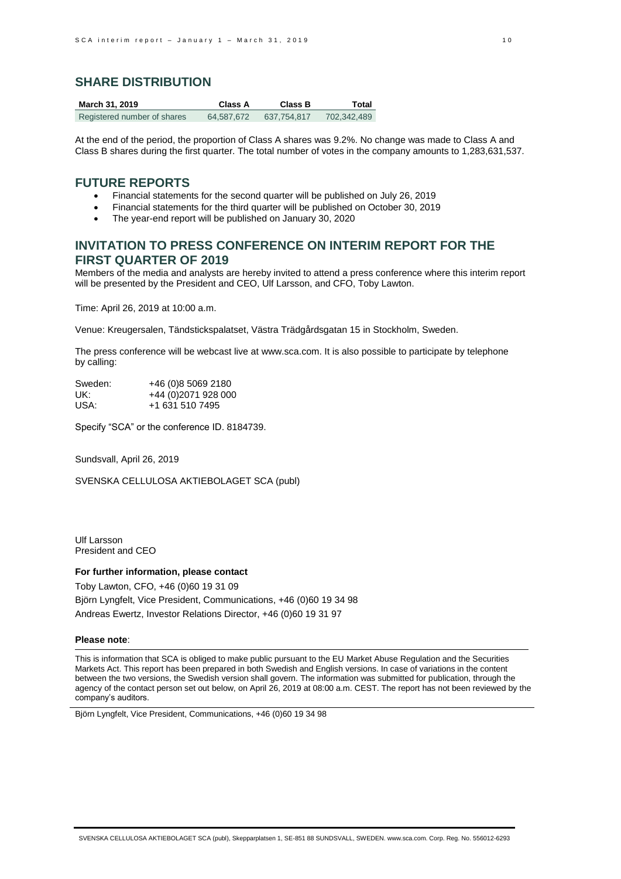## **SHARE DISTRIBUTION**

| March 31, 2019              | Class A    | <b>Class B</b> | Total       |
|-----------------------------|------------|----------------|-------------|
| Registered number of shares | 64.587.672 | 637.754.817    | 702,342,489 |

At the end of the period, the proportion of Class A shares was 9.2%. No change was made to Class A and Class B shares during the first quarter. The total number of votes in the company amounts to 1,283,631,537.

### **FUTURE REPORTS**

- Financial statements for the second quarter will be published on July 26, 2019
- Financial statements for the third quarter will be published on October 30, 2019
- The year-end report will be published on January 30, 2020

## **INVITATION TO PRESS CONFERENCE ON INTERIM REPORT FOR THE FIRST QUARTER OF 2019**

Members of the media and analysts are hereby invited to attend a press conference where this interim report will be presented by the President and CEO, Ulf Larsson, and CFO, Toby Lawton.

Time: April 26, 2019 at 10:00 a.m.

Venue: Kreugersalen, Tändstickspalatset, Västra Trädgårdsgatan 15 in Stockholm, Sweden.

The press conference will be webcast live a[t www.sca.com.](http://www.sca.com/) It is also possible to participate by telephone by calling:

| Sweden: | +46 (0)8 5069 2180   |
|---------|----------------------|
| UK:     | +44 (0) 2071 928 000 |
| USA:    | +1 631 510 7495      |

Specify "SCA" or the conference ID. 8184739.

Sundsvall, April 26, 2019

SVENSKA CELLULOSA AKTIEBOLAGET SCA (publ)

Ulf Larsson President and CEO

#### **For further information, please contact**

Toby Lawton, CFO, +46 (0)60 19 31 09 Björn Lyngfelt, Vice President, Communications, +46 (0)60 19 34 98 Andreas Ewertz, Investor Relations Director, +46 (0)60 19 31 97

#### **Please note**:

This is information that SCA is obliged to make public pursuant to the EU Market Abuse Regulation and the Securities Markets Act. This report has been prepared in both Swedish and English versions. In case of variations in the content between the two versions, the Swedish version shall govern. The information was submitted for publication, through the agency of the contact person set out below, on April 26, 2019 at 08:00 a.m. CEST. The report has not been reviewed by the company's auditors.

Björn Lyngfelt, Vice President, Communications, +46 (0)60 19 34 98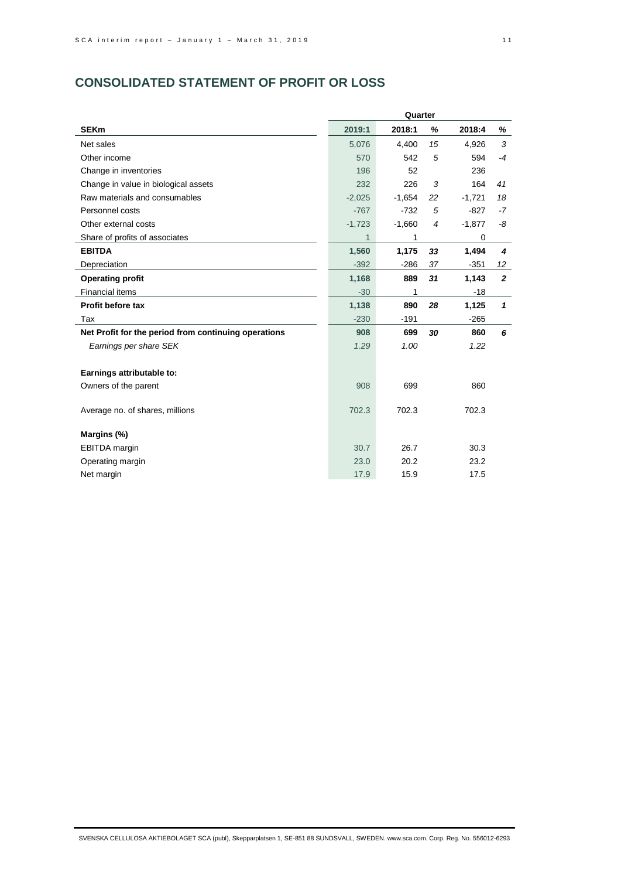# **CONSOLIDATED STATEMENT OF PROFIT OR LOSS**

|                                                      | Quarter  |          |                |          |                |
|------------------------------------------------------|----------|----------|----------------|----------|----------------|
| <b>SEKm</b>                                          | 2019:1   | 2018:1   | %              | 2018:4   | %              |
| Net sales                                            | 5,076    | 4,400    | 15             | 4,926    | 3              |
| Other income                                         | 570      | 542      | 5              | 594      | $-4$           |
| Change in inventories                                | 196      | 52       |                | 236      |                |
| Change in value in biological assets                 | 232      | 226      | 3              | 164      | 41             |
| Raw materials and consumables                        | $-2,025$ | $-1,654$ | 22             | $-1,721$ | 18             |
| Personnel costs                                      | $-767$   | $-732$   | 5              | $-827$   | $-7$           |
| Other external costs                                 | $-1,723$ | $-1,660$ | $\overline{4}$ | $-1,877$ | -8             |
| Share of profits of associates                       | 1        | 1        |                | 0        |                |
| <b>EBITDA</b>                                        | 1,560    | 1,175    | 33             | 1,494    | 4              |
| Depreciation                                         | $-392$   | $-286$   | 37             | $-351$   | 12             |
| <b>Operating profit</b>                              | 1,168    | 889      | 31             | 1,143    | $\overline{2}$ |
| <b>Financial items</b>                               | $-30$    | 1        |                | $-18$    |                |
| Profit before tax                                    | 1,138    | 890      | 28             | 1,125    | $\mathbf{1}$   |
| Tax                                                  | $-230$   | $-191$   |                | $-265$   |                |
| Net Profit for the period from continuing operations | 908      | 699      | 30             | 860      | 6              |
| Earnings per share SEK                               | 1.29     | 1.00     |                | 1.22     |                |
|                                                      |          |          |                |          |                |
| Earnings attributable to:                            |          |          |                |          |                |
| Owners of the parent                                 | 908      | 699      |                | 860      |                |
|                                                      |          |          |                |          |                |
| Average no. of shares, millions                      | 702.3    | 702.3    |                | 702.3    |                |
|                                                      |          |          |                |          |                |
| Margins (%)                                          |          |          |                |          |                |
| <b>EBITDA</b> margin                                 | 30.7     | 26.7     |                | 30.3     |                |
| Operating margin                                     | 23.0     | 20.2     |                | 23.2     |                |
| Net margin                                           | 17.9     | 15.9     |                | 17.5     |                |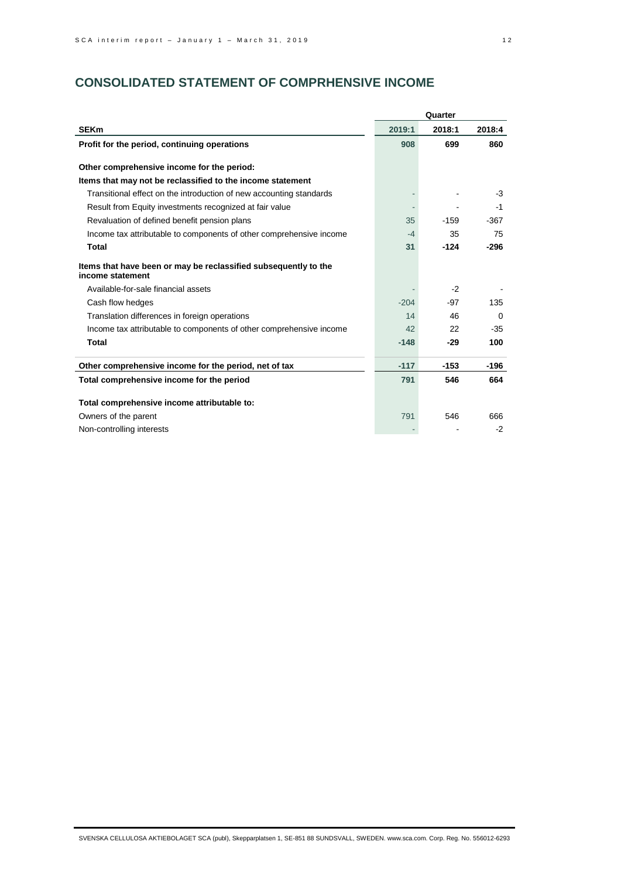# **CONSOLIDATED STATEMENT OF COMPRHENSIVE INCOME**

|                                                                                     | Quarter |        |          |
|-------------------------------------------------------------------------------------|---------|--------|----------|
| <b>SEKm</b>                                                                         | 2019:1  | 2018:1 | 2018:4   |
| Profit for the period, continuing operations                                        | 908     | 699    | 860      |
|                                                                                     |         |        |          |
| Other comprehensive income for the period:                                          |         |        |          |
| Items that may not be reclassified to the income statement                          |         |        |          |
| Transitional effect on the introduction of new accounting standards                 |         |        | -3       |
| Result from Equity investments recognized at fair value                             |         |        | $-1$     |
| Revaluation of defined benefit pension plans                                        | 35      | $-159$ | $-367$   |
| Income tax attributable to components of other comprehensive income                 | $-4$    | 35     | 75       |
| <b>Total</b>                                                                        | 31      | $-124$ | $-296$   |
| Items that have been or may be reclassified subsequently to the<br>income statement |         |        |          |
| Available-for-sale financial assets                                                 |         | $-2$   |          |
| Cash flow hedges                                                                    | $-204$  | $-97$  | 135      |
| Translation differences in foreign operations                                       | 14      | 46     | $\Omega$ |
| Income tax attributable to components of other comprehensive income                 | 42      | 22     | $-35$    |
| <b>Total</b>                                                                        | $-148$  | $-29$  | 100      |
| Other comprehensive income for the period, net of tax                               | $-117$  | $-153$ | -196     |
| Total comprehensive income for the period                                           | 791     | 546    | 664      |
| Total comprehensive income attributable to:                                         |         |        |          |
| Owners of the parent                                                                | 791     | 546    | 666      |
| Non-controlling interests                                                           |         |        | -2       |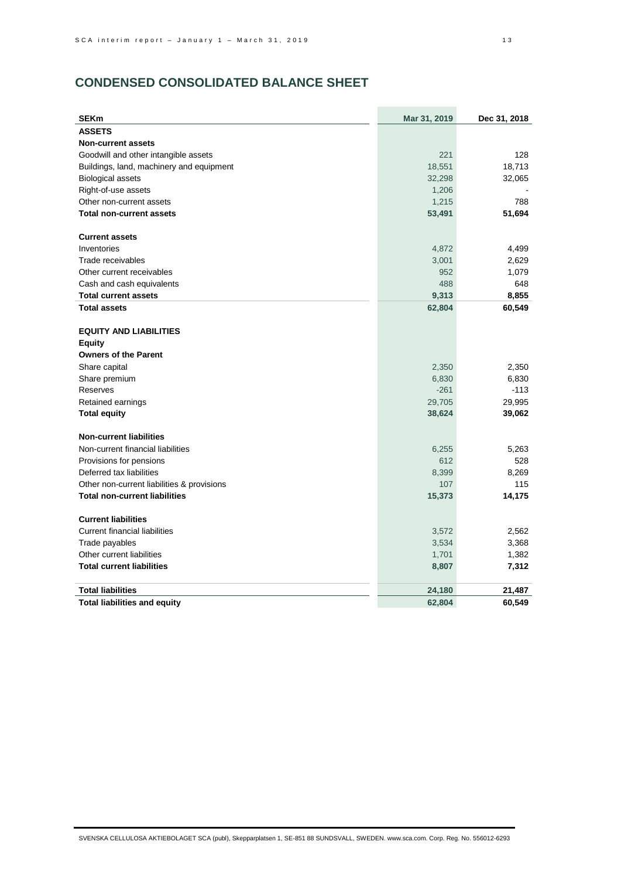# **CONDENSED CONSOLIDATED BALANCE SHEET**

| <b>SEKm</b>                                | Mar 31, 2019 | Dec 31, 2018 |
|--------------------------------------------|--------------|--------------|
| <b>ASSETS</b>                              |              |              |
| <b>Non-current assets</b>                  |              |              |
| Goodwill and other intangible assets       | 221          | 128          |
| Buildings, land, machinery and equipment   | 18,551       | 18,713       |
| <b>Biological assets</b>                   | 32,298       | 32,065       |
| Right-of-use assets                        | 1,206        |              |
| Other non-current assets                   | 1,215        | 788          |
| <b>Total non-current assets</b>            | 53,491       | 51,694       |
| <b>Current assets</b>                      |              |              |
| Inventories                                | 4,872        | 4,499        |
| Trade receivables                          | 3,001        | 2,629        |
| Other current receivables                  | 952          | 1,079        |
| Cash and cash equivalents                  | 488          | 648          |
| <b>Total current assets</b>                | 9,313        | 8,855        |
| <b>Total assets</b>                        | 62,804       | 60,549       |
|                                            |              |              |
| <b>EQUITY AND LIABILITIES</b>              |              |              |
| <b>Equity</b>                              |              |              |
| <b>Owners of the Parent</b>                |              |              |
| Share capital                              | 2,350        | 2,350        |
| Share premium                              | 6,830        | 6,830        |
| Reserves                                   | $-261$       | $-113$       |
| Retained earnings                          | 29,705       | 29,995       |
| <b>Total equity</b>                        | 38,624       | 39,062       |
| <b>Non-current liabilities</b>             |              |              |
| Non-current financial liabilities          | 6,255        | 5,263        |
| Provisions for pensions                    | 612          | 528          |
| Deferred tax liabilities                   | 8,399        | 8,269        |
| Other non-current liabilities & provisions | 107          | 115          |
| <b>Total non-current liabilities</b>       | 15,373       | 14,175       |
| <b>Current liabilities</b>                 |              |              |
| <b>Current financial liabilities</b>       |              |              |
|                                            | 3,572        | 2,562        |
| Trade payables                             | 3,534        | 3,368        |
| Other current liabilities                  | 1,701        | 1,382        |
| <b>Total current liabilities</b>           | 8,807        | 7,312        |
| <b>Total liabilities</b>                   | 24,180       | 21,487       |
| <b>Total liabilities and equity</b>        | 62,804       | 60,549       |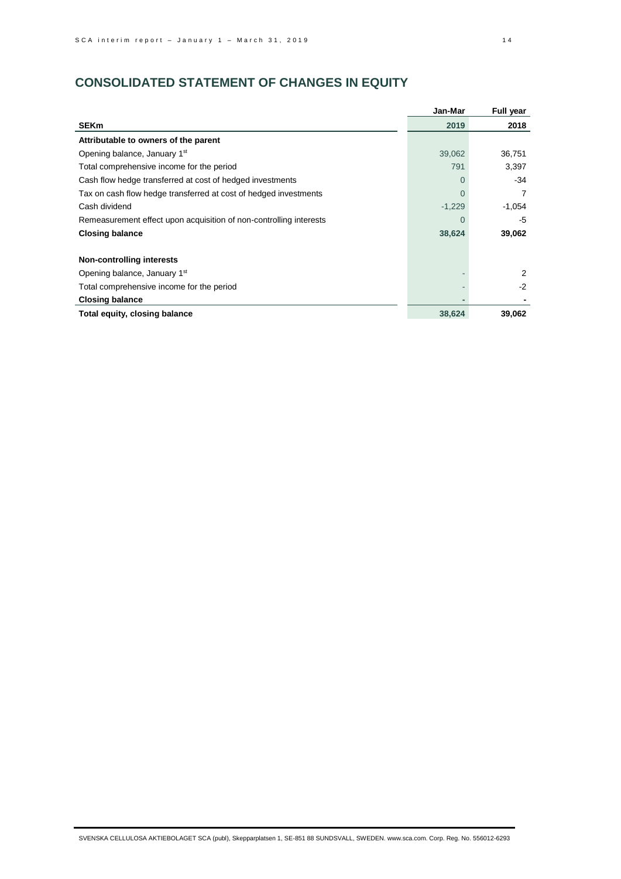# **CONSOLIDATED STATEMENT OF CHANGES IN EQUITY**

|                                                                    | Jan-Mar  | Full year |
|--------------------------------------------------------------------|----------|-----------|
| <b>SEKm</b>                                                        | 2019     | 2018      |
| Attributable to owners of the parent                               |          |           |
| Opening balance, January 1st                                       | 39,062   | 36,751    |
| Total comprehensive income for the period                          | 791      | 3,397     |
| Cash flow hedge transferred at cost of hedged investments          | $\Omega$ | -34       |
| Tax on cash flow hedge transferred at cost of hedged investments   | $\Omega$ | 7         |
| Cash dividend                                                      | $-1,229$ | $-1,054$  |
| Remeasurement effect upon acquisition of non-controlling interests | $\Omega$ | -5        |
| <b>Closing balance</b>                                             | 38,624   | 39,062    |
| Non-controlling interests                                          |          |           |
| Opening balance, January 1st                                       |          | 2         |
| Total comprehensive income for the period                          |          | $-2$      |
| <b>Closing balance</b>                                             |          |           |
| Total equity, closing balance                                      | 38,624   | 39,062    |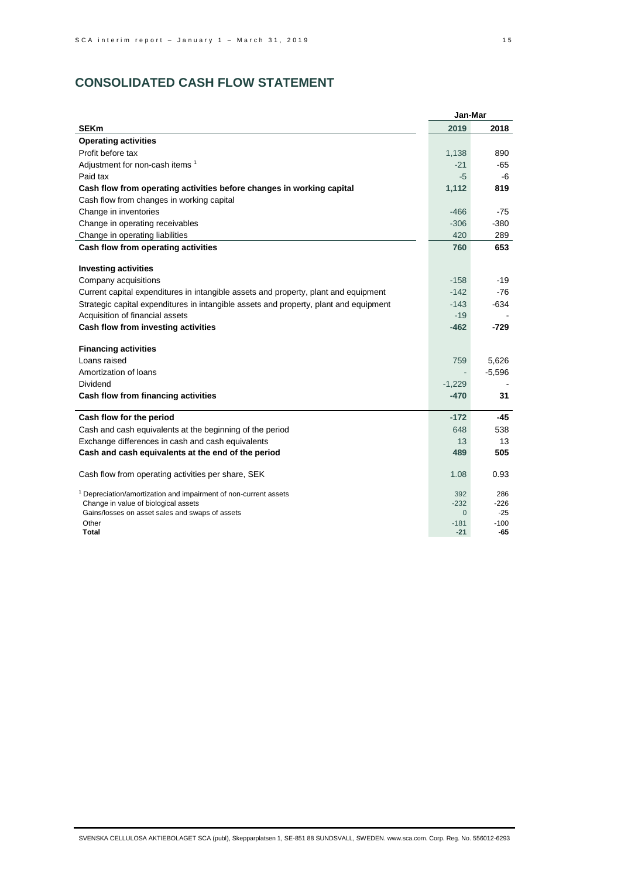# **CONSOLIDATED CASH FLOW STATEMENT**

|                                                                                       | Jan-Mar            |                 |
|---------------------------------------------------------------------------------------|--------------------|-----------------|
| <b>SEKm</b>                                                                           | 2019               | 2018            |
| <b>Operating activities</b>                                                           |                    |                 |
| Profit before tax                                                                     | 1,138              | 890             |
| Adjustment for non-cash items 1                                                       | $-21$              | -65             |
| Paid tax                                                                              | $-5$               | -6              |
| Cash flow from operating activities before changes in working capital                 | 1,112              | 819             |
| Cash flow from changes in working capital                                             |                    |                 |
| Change in inventories                                                                 | $-466$             | -75             |
| Change in operating receivables                                                       | $-306$             | $-380$          |
| Change in operating liabilities                                                       | 420                | 289             |
| Cash flow from operating activities                                                   | 760                | 653             |
| <b>Investing activities</b>                                                           |                    |                 |
| Company acquisitions                                                                  | $-158$             | -19             |
| Current capital expenditures in intangible assets and property, plant and equipment   | $-142$             | -76             |
| Strategic capital expenditures in intangible assets and property, plant and equipment | $-143$             | $-634$          |
| Acquisition of financial assets                                                       | $-19$              |                 |
| Cash flow from investing activities                                                   | $-462$             | -729            |
| <b>Financing activities</b>                                                           |                    |                 |
| Loans raised                                                                          | 759                | 5.626           |
| Amortization of loans                                                                 |                    | $-5,596$        |
| Dividend                                                                              | $-1,229$           |                 |
| Cash flow from financing activities                                                   | $-470$             | 31              |
| Cash flow for the period                                                              | $-172$             | -45             |
| Cash and cash equivalents at the beginning of the period                              | 648                | 538             |
| Exchange differences in cash and cash equivalents                                     | 13                 | 13              |
| Cash and cash equivalents at the end of the period                                    | 489                | 505             |
| Cash flow from operating activities per share, SEK                                    | 1.08               | 0.93            |
| <sup>1</sup> Depreciation/amortization and impairment of non-current assets           | 392                | 286             |
| Change in value of biological assets                                                  | $-232$             | $-226$          |
| Gains/losses on asset sales and swaps of assets<br>Other                              | $\Omega$<br>$-181$ | $-25$<br>$-100$ |
| Total                                                                                 | $-21$              | -65             |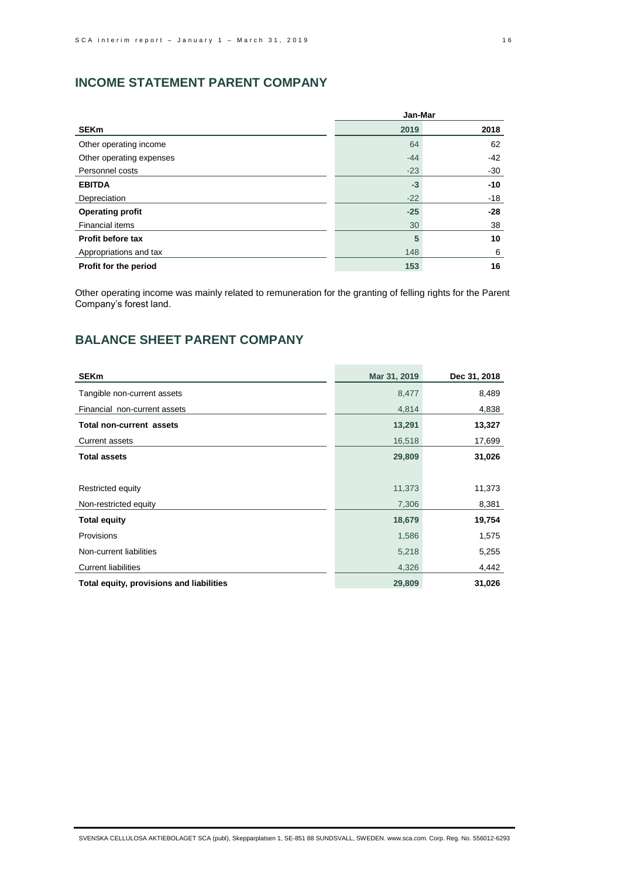# **INCOME STATEMENT PARENT COMPANY**

|                          | Jan-Mar |       |
|--------------------------|---------|-------|
| <b>SEKm</b>              | 2019    | 2018  |
| Other operating income   | 64      | 62    |
| Other operating expenses | $-44$   | $-42$ |
| Personnel costs          | $-23$   | $-30$ |
| <b>EBITDA</b>            | $-3$    | $-10$ |
| Depreciation             | $-22$   | $-18$ |
| <b>Operating profit</b>  | $-25$   | $-28$ |
| <b>Financial items</b>   | 30      | 38    |
| Profit before tax        | 5       | 10    |
| Appropriations and tax   | 148     | 6     |
| Profit for the period    | 153     | 16    |

Other operating income was mainly related to remuneration for the granting of felling rights for the Parent Company's forest land.

# **BALANCE SHEET PARENT COMPANY**

| <b>SEKm</b>                              | Mar 31, 2019 | Dec 31, 2018 |
|------------------------------------------|--------------|--------------|
| Tangible non-current assets              | 8,477        | 8,489        |
| Financial non-current assets             | 4,814        | 4,838        |
| <b>Total non-current assets</b>          | 13,291       | 13,327       |
| <b>Current assets</b>                    | 16,518       | 17,699       |
| <b>Total assets</b>                      | 29,809       | 31,026       |
|                                          |              |              |
| Restricted equity                        | 11,373       | 11,373       |
| Non-restricted equity                    | 7,306        | 8,381        |
| <b>Total equity</b>                      | 18,679       | 19,754       |
| Provisions                               | 1,586        | 1,575        |
| Non-current liabilities                  | 5,218        | 5,255        |
| <b>Current liabilities</b>               | 4,326        | 4,442        |
| Total equity, provisions and liabilities | 29,809       | 31,026       |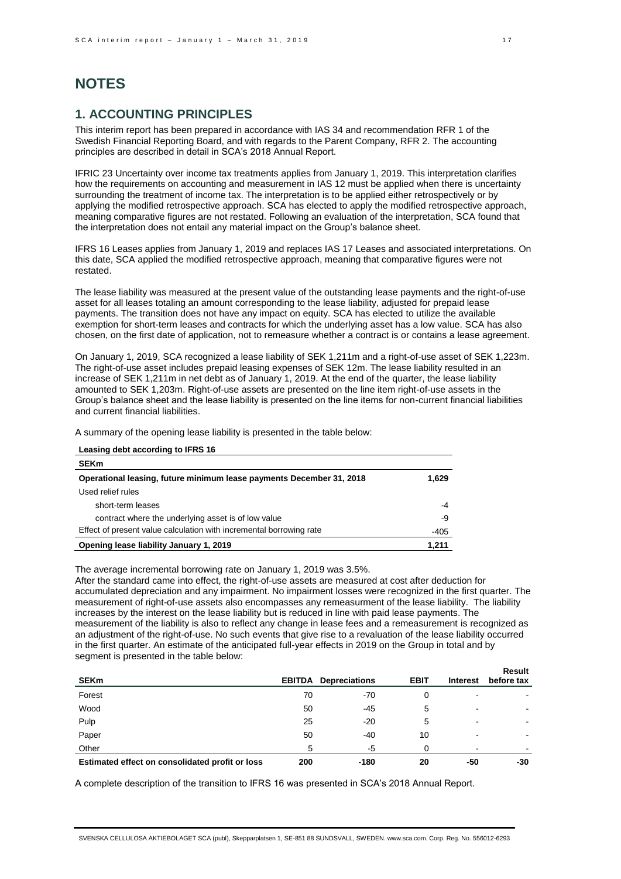# **NOTES**

## **1. ACCOUNTING PRINCIPLES**

This interim report has been prepared in accordance with IAS 34 and recommendation RFR 1 of the Swedish Financial Reporting Board, and with regards to the Parent Company, RFR 2. The accounting principles are described in detail in SCA's 2018 Annual Report.

IFRIC 23 Uncertainty over income tax treatments applies from January 1, 2019. This interpretation clarifies how the requirements on accounting and measurement in IAS 12 must be applied when there is uncertainty surrounding the treatment of income tax. The interpretation is to be applied either retrospectively or by applying the modified retrospective approach. SCA has elected to apply the modified retrospective approach, meaning comparative figures are not restated. Following an evaluation of the interpretation, SCA found that the interpretation does not entail any material impact on the Group's balance sheet.

IFRS 16 Leases applies from January 1, 2019 and replaces IAS 17 Leases and associated interpretations. On this date, SCA applied the modified retrospective approach, meaning that comparative figures were not restated.

The lease liability was measured at the present value of the outstanding lease payments and the right-of-use asset for all leases totaling an amount corresponding to the lease liability, adjusted for prepaid lease payments. The transition does not have any impact on equity. SCA has elected to utilize the available exemption for short-term leases and contracts for which the underlying asset has a low value. SCA has also chosen, on the first date of application, not to remeasure whether a contract is or contains a lease agreement.

On January 1, 2019, SCA recognized a lease liability of SEK 1,211m and a right-of-use asset of SEK 1,223m. The right-of-use asset includes prepaid leasing expenses of SEK 12m. The lease liability resulted in an increase of SEK 1,211m in net debt as of January 1, 2019. At the end of the quarter, the lease liability amounted to SEK 1,203m. Right-of-use assets are presented on the line item right-of-use assets in the Group's balance sheet and the lease liability is presented on the line items for non-current financial liabilities and current financial liabilities.

A summary of the opening lease liability is presented in the table below:

**Leasing debt according to IFRS 16**

| Leasing dept according to IFRS To                                    |       |
|----------------------------------------------------------------------|-------|
| <b>SEKm</b>                                                          |       |
| Operational leasing, future minimum lease payments December 31, 2018 | 1,629 |
| Used relief rules                                                    |       |
| short-term leases                                                    | -4    |
| contract where the underlying asset is of low value                  | -9    |
| Effect of present value calculation with incremental borrowing rate  | -405  |
| Opening lease liability January 1, 2019                              | 1,211 |

The average incremental borrowing rate on January 1, 2019 was 3.5%.

After the standard came into effect, the right-of-use assets are measured at cost after deduction for accumulated depreciation and any impairment. No impairment losses were recognized in the first quarter. The measurement of right-of-use assets also encompasses any remeasurment of the lease liability. The liability increases by the interest on the lease liability but is reduced in line with paid lease payments. The measurement of the liability is also to reflect any change in lease fees and a remeasurement is recognized as an adjustment of the right-of-use. No such events that give rise to a revaluation of the lease liability occurred in the first quarter. An estimate of the anticipated full-year effects in 2019 on the Group in total and by segment is presented in the table below:

| <b>SEKm</b>                                     | <b>EBITDA</b> | <b>Depreciations</b> | <b>EBIT</b> | <b>Interest</b> | <b>Result</b><br>before tax |
|-------------------------------------------------|---------------|----------------------|-------------|-----------------|-----------------------------|
| Forest                                          | 70            | $-70$                | 0           | $\blacksquare$  | $\overline{\phantom{0}}$    |
| Wood                                            | 50            | $-45$                | 5           | $\blacksquare$  | $\blacksquare$              |
| Pulp                                            | 25            | -20                  | 5           | -               | $\overline{\phantom{0}}$    |
| Paper                                           | 50            | -40                  | 10          | $\blacksquare$  |                             |
| Other                                           | 5             | -5                   |             | $\blacksquare$  | -                           |
| Estimated effect on consolidated profit or loss | 200           | $-180$               | 20          | -50             | -30                         |

A complete description of the transition to IFRS 16 was presented in SCA's 2018 Annual Report.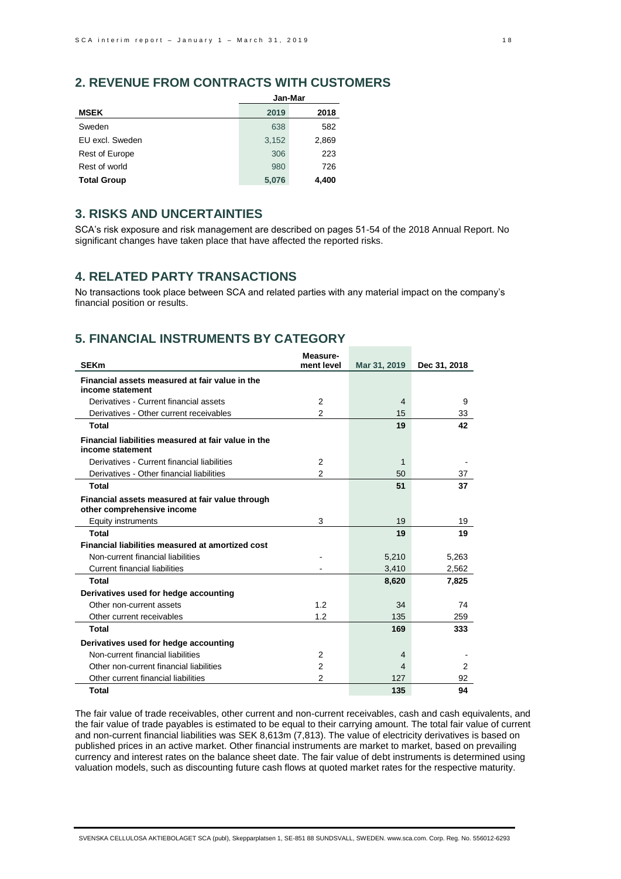# **2. REVENUE FROM CONTRACTS WITH CUSTOMERS**

|                       | Jan-Mar |       |  |  |
|-----------------------|---------|-------|--|--|
| <b>MSEK</b>           | 2019    | 2018  |  |  |
| Sweden                | 638     | 582   |  |  |
| EU excl. Sweden       | 3,152   | 2,869 |  |  |
| <b>Rest of Europe</b> | 306     | 223   |  |  |
| Rest of world         | 980     | 726   |  |  |
| <b>Total Group</b>    | 5,076   | 4.400 |  |  |

## **3. RISKS AND UNCERTAINTIES**

SCA's risk exposure and risk management are described on pages 51-54 of the 2018 Annual Report. No significant changes have taken place that have affected the reported risks.

## **4. RELATED PARTY TRANSACTIONS**

No transactions took place between SCA and related parties with any material impact on the company's financial position or results.

# **5. FINANCIAL INSTRUMENTS BY CATEGORY**

| <b>SEKm</b>                                                                   | Measure-<br>ment level | Mar 31, 2019   | Dec 31, 2018 |
|-------------------------------------------------------------------------------|------------------------|----------------|--------------|
|                                                                               |                        |                |              |
| Financial assets measured at fair value in the<br>income statement            |                        |                |              |
| Derivatives - Current financial assets                                        | 2                      | $\overline{4}$ | 9            |
| Derivatives - Other current receivables                                       | $\overline{2}$         | 15             | 33           |
| Total                                                                         |                        | 19             | 42           |
| Financial liabilities measured at fair value in the<br>income statement       |                        |                |              |
| Derivatives - Current financial liabilities                                   | 2                      | 1              |              |
| Derivatives - Other financial liabilities                                     | 2                      | 50             | 37           |
| Total                                                                         |                        | 51             | 37           |
| Financial assets measured at fair value through<br>other comprehensive income |                        |                |              |
| Equity instruments                                                            | 3                      | 19             | 19           |
| Total                                                                         |                        | 19             | 19           |
| Financial liabilities measured at amortized cost                              |                        |                |              |
| Non-current financial liabilities                                             |                        | 5,210          | 5,263        |
| <b>Current financial liabilities</b>                                          |                        | 3,410          | 2,562        |
| Total                                                                         |                        | 8,620          | 7,825        |
| Derivatives used for hedge accounting                                         |                        |                |              |
| Other non-current assets                                                      | 1.2                    | 34             | 74           |
| Other current receivables                                                     | 1.2                    | 135            | 259          |
| Total                                                                         |                        | 169            | 333          |
| Derivatives used for hedge accounting                                         |                        |                |              |
| Non-current financial liabilities                                             | 2                      | 4              |              |
| Other non-current financial liabilities                                       | 2                      | 4              | 2            |
| Other current financial liabilities                                           | $\overline{2}$         | 127            | 92           |
| Total                                                                         |                        | 135            | 94           |

The fair value of trade receivables, other current and non-current receivables, cash and cash equivalents, and the fair value of trade payables is estimated to be equal to their carrying amount. The total fair value of current and non-current financial liabilities was SEK 8,613m (7,813). The value of electricity derivatives is based on published prices in an active market. Other financial instruments are market to market, based on prevailing currency and interest rates on the balance sheet date. The fair value of debt instruments is determined using valuation models, such as discounting future cash flows at quoted market rates for the respective maturity.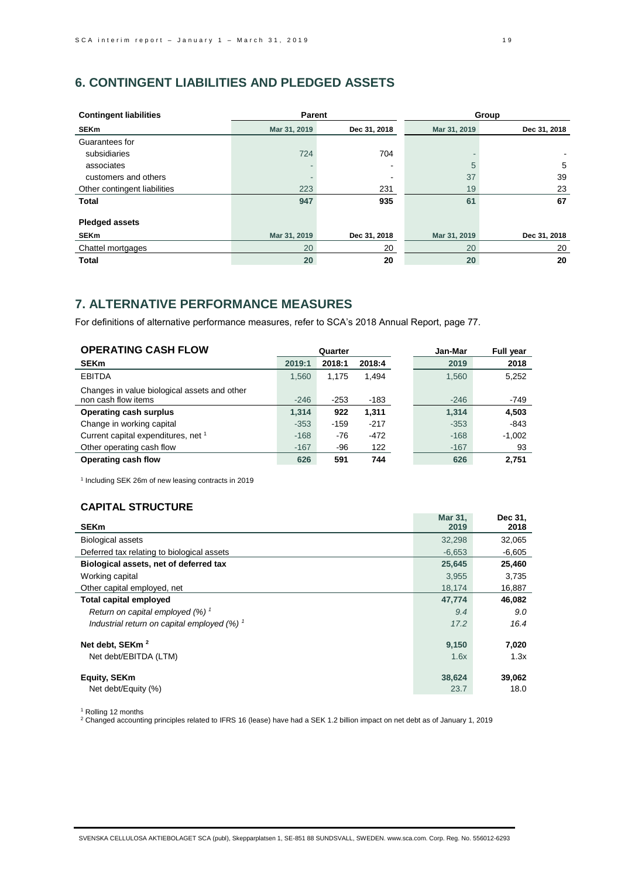# **6. CONTINGENT LIABILITIES AND PLEDGED ASSETS**

| <b>Contingent liabilities</b> | Parent       |                          |              | Group        |
|-------------------------------|--------------|--------------------------|--------------|--------------|
| <b>SEKm</b>                   | Mar 31, 2019 | Dec 31, 2018             | Mar 31, 2019 | Dec 31, 2018 |
| Guarantees for                |              |                          |              |              |
| subsidiaries                  | 724          | 704                      |              |              |
| associates                    |              | $\overline{\phantom{0}}$ | 5            | 5            |
| customers and others          |              |                          | 37           | 39           |
| Other contingent liabilities  | 223          | 231                      | 19           | 23           |
| <b>Total</b>                  | 947          | 935                      | 61           | 67           |
|                               |              |                          |              |              |
| <b>Pledged assets</b>         |              |                          |              |              |
| <b>SEKm</b>                   | Mar 31, 2019 | Dec 31, 2018             | Mar 31, 2019 | Dec 31, 2018 |
| Chattel mortgages             | 20           | 20                       | 20           | 20           |
| <b>Total</b>                  | 20           | 20                       | 20           | 20           |

# **7. ALTERNATIVE PERFORMANCE MEASURES**

For definitions of alternative performance measures, refer to SCA's 2018 Annual Report, page 77.

| <b>OPERATING CASH FLOW</b>                                          | Quarter |        |        | Jan-Mar | Full year |
|---------------------------------------------------------------------|---------|--------|--------|---------|-----------|
| <b>SEKm</b>                                                         | 2019:1  | 2018:1 | 2018:4 | 2019    | 2018      |
| <b>EBITDA</b>                                                       | 1.560   | 1.175  | 1.494  | 1.560   | 5,252     |
| Changes in value biological assets and other<br>non cash flow items | $-246$  | $-253$ | -183   | $-246$  | -749      |
| <b>Operating cash surplus</b>                                       | 1.314   | 922    | 1,311  | 1,314   | 4,503     |
| Change in working capital                                           | $-353$  | $-159$ | $-217$ | $-353$  | $-843$    |
| Current capital expenditures, net 1                                 | $-168$  | $-76$  | $-472$ | $-168$  | $-1,002$  |
| Other operating cash flow                                           | $-167$  | -96    | 122    | $-167$  | 93        |
| Operating cash flow                                                 | 626     | 591    | 744    | 626     | 2.751     |

1 Including SEK 26m of new leasing contracts in 2019

## **CAPITAL STRUCTURE**

| <b>SEKm</b>                                              | Mar 31,<br>2019 | Dec 31,<br>2018 |
|----------------------------------------------------------|-----------------|-----------------|
| <b>Biological assets</b>                                 | 32,298          | 32,065          |
| Deferred tax relating to biological assets               | $-6,653$        | $-6,605$        |
| Biological assets, net of deferred tax                   | 25,645          | 25,460          |
| Working capital                                          | 3,955           | 3,735           |
| Other capital employed, net                              | 18.174          | 16,887          |
| <b>Total capital employed</b>                            | 47,774          | 46,082          |
| Return on capital employed $(%)$ <sup>1</sup>            | 9.4             | 9.0             |
| Industrial return on capital employed $(%)$ <sup>1</sup> | 17.2            | 16.4            |
| Net debt, SEKm <sup>2</sup><br>Net debt/EBITDA (LTM)     | 9,150<br>1.6x   | 7,020<br>1.3x   |
| <b>Equity, SEKm</b><br>Net debt/Equity (%)               | 38,624<br>23.7  | 39,062<br>18.0  |

<sup>1</sup> Rolling 12 months

 $^2$  Changed accounting principles related to IFRS 16 (lease) have had a SEK 1.2 billion impact on net debt as of January 1, 2019

**Mar 31, 31, 31, 31, 31** 

**Dec 31,**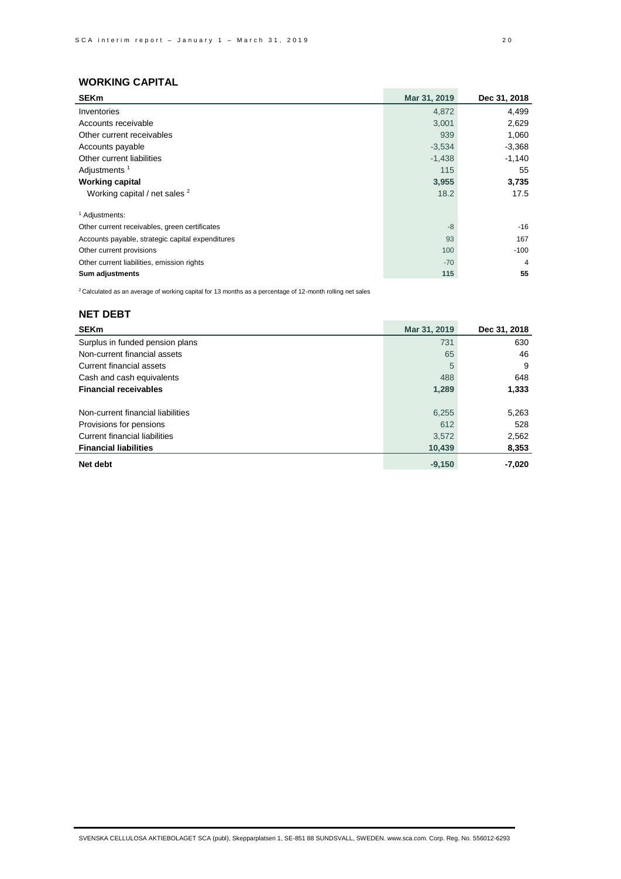| <b>SEKm</b>                                      | Mar 31, 2019 | Dec 31, 2018   |
|--------------------------------------------------|--------------|----------------|
| Inventories                                      | 4,872        | 4,499          |
| Accounts receivable                              | 3,001        | 2,629          |
| Other current receivables                        | 939          | 1,060          |
| Accounts payable                                 | $-3,534$     | $-3,368$       |
| Other current liabilities                        | $-1,438$     | $-1,140$       |
| Adjustments <sup>1</sup>                         | 115          | 55             |
| <b>Working capital</b>                           | 3,955        | 3,735          |
| Working capital / net sales <sup>2</sup>         | 18.2         | 17.5           |
| <sup>1</sup> Adjustments:                        |              |                |
| Other current receivables, green certificates    | $-8$         | $-16$          |
| Accounts payable, strategic capital expenditures | 93           | 167            |
| Other current provisions                         | 100          | $-100$         |
| Other current liabilities, emission rights       | $-70$        | $\overline{4}$ |
| Sum adjustments                                  | 115          | 55             |

 $2$  Calculated as an average of working capital for 13 months as a percentage of 12-month rolling net sales

## **NET DEBT**

| <b>SEKm</b>                       | Mar 31, 2019 | Dec 31, 2018 |
|-----------------------------------|--------------|--------------|
| Surplus in funded pension plans   | 731          | 630          |
| Non-current financial assets      | 65           | 46           |
| Current financial assets          | 5            | 9            |
| Cash and cash equivalents         | 488          | 648          |
| <b>Financial receivables</b>      | 1,289        | 1,333        |
|                                   |              |              |
| Non-current financial liabilities | 6,255        | 5,263        |
| Provisions for pensions           | 612          | 528          |
| Current financial liabilities     | 3,572        | 2,562        |
| <b>Financial liabilities</b>      | 10,439       | 8,353        |
| Net debt                          | $-9.150$     | -7,020       |